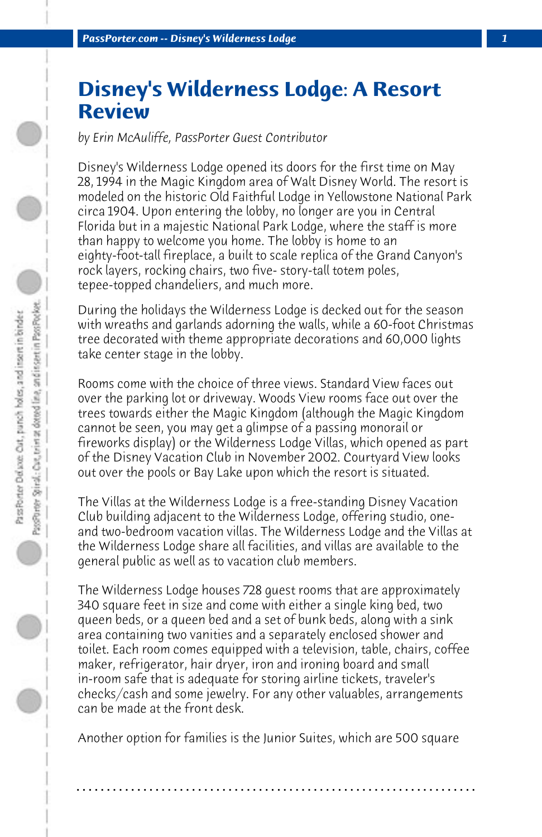## **Disney's Wilderness Lodge: A Resort Review**

*by Erin McAuliffe, PassPorter Guest Contributor*

Disney's Wilderness Lodge opened its doors for the first time on May 28, 1994 in the Magic Kingdom area of Walt Disney World. The resort is modeled on the historic Old Faithful Lodge in Yellowstone National Park circa 1904. Upon entering the lobby, no longer are you in Central Florida but in a majestic National Park Lodge, where the staff is more than happy to welcome you home. The lobby is home to an eighty-foot-tall fireplace, a built to scale replica of the Grand Canyon's rock layers, rocking chairs, two five- story-tall totem poles, tepee-topped chandeliers, and much more.

During the holidays the Wilderness Lodge is decked out for the season with wreaths and garlands adorning the walls, while a 60-foot Christmas tree decorated with theme appropriate decorations and 60,000 lights take center stage in the lobby.

Rooms come with the choice of three views. Standard View faces out over the parking lot or driveway. Woods View rooms face out over the trees towards either the Magic Kingdom (although the Magic Kingdom cannot be seen, you may get a glimpse of a passing monorail or fireworks display) or the Wilderness Lodge Villas, which opened as part of the Disney Vacation Club in November 2002. Courtyard View looks out over the pools or Bay Lake upon which the resort is situated.

The Villas at the Wilderness Lodge is a free-standing Disney Vacation Club building adjacent to the Wilderness Lodge, offering studio, oneand two-bedroom vacation villas. The Wilderness Lodge and the Villas at the Wilderness Lodge share all facilities, and villas are available to the general public as well as to vacation club members.

The Wilderness Lodge houses 728 guest rooms that are approximately 340 square feet in size and come with either a single king bed, two queen beds, or a queen bed and a set of bunk beds, along with a sink area containing two vanities and a separately enclosed shower and toilet. Each room comes equipped with a television, table, chairs, coffee maker, refrigerator, hair dryer, iron and ironing board and small in-room safe that is adequate for storing airline tickets, traveler's checks/cash and some jewelry. For any other valuables, arrangements can be made at the front desk.

Another option for families is the Junior Suites, which are 500 square

**. . . . . . . . . . . . . . . . . . . . . . . . . . . . . . . . . . . . . . . . . . . . . . . . . . . . . . . . . . . . . . . . . .**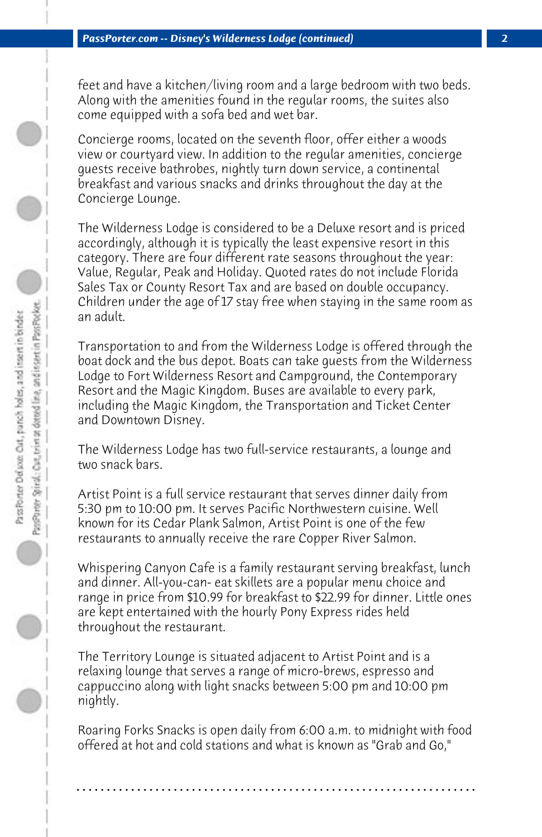feet and have a kitchen/living room and a large bedroom with two beds. Along with the amenities found in the regular rooms, the suites also come equipped with a sofa bed and wet bar.

Concierge rooms, located on the seventh floor, offer either a woods view or courtyard view. In addition to the regular amenities, concierge guests receive bathrobes, nightly turn down service, a continental breakfast and various snacks and drinks throughout the day at the Concierge Lounge.

The Wilderness Lodge is considered to be a Deluxe resort and is priced accordingly, although it is typically the least expensive resort in this category. There are four different rate seasons throughout the year: Value, Regular, Peak and Holiday. Quoted rates do not include Florida Sales Tax or County Resort Tax and are based on double occupancy. Children under the age of 17 stay free when staying in the same room as an adult.

Transportation to and from the Wilderness Lodge is offered through the boat dock and the bus depot. Boats can take guests from the Wilderness Lodge to Fort Wilderness Resort and Campground, the Contemporary Resort and the Magic Kingdom. Buses are available to every park, including the Magic Kingdom, the Transportation and Ticket Center and Downtown Disney.

The Wilderness Lodge has two full-service restaurants, a lounge and two snack bars.

Artist Point is a full service restaurant that serves dinner daily from 5:30 pm to 10:00 pm. It serves Pacific Northwestern cuisine. Well known for its Cedar Plank Salmon, Artist Point is one of the few restaurants to annually receive the rare Copper River Salmon.

Whispering Canyon Cafe is a family restaurant serving breakfast, lunch and dinner. All-you-can- eat skillets are a popular menu choice and range in price from \$10.99 for breakfast to \$22.99 for dinner. Little ones are kept entertained with the hourly Pony Express rides held throughout the restaurant.

The Territory Lounge is situated adjacent to Artist Point and is a relaxing lounge that serves a range of micro-brews, espresso and cappuccino along with light snacks between 5:00 pm and 10:00 pm nightly.

Roaring Forks Snacks is open daily from 6:00 a.m. to midnight with food offered at hot and cold stations and what is known as "Grab and Go,"

**. . . . . . . . . . . . . . . . . . . . . . . . . . . . . . . . . . . . . . . . . . . . . . . . . . . . . . . . . . . . . . . . . .**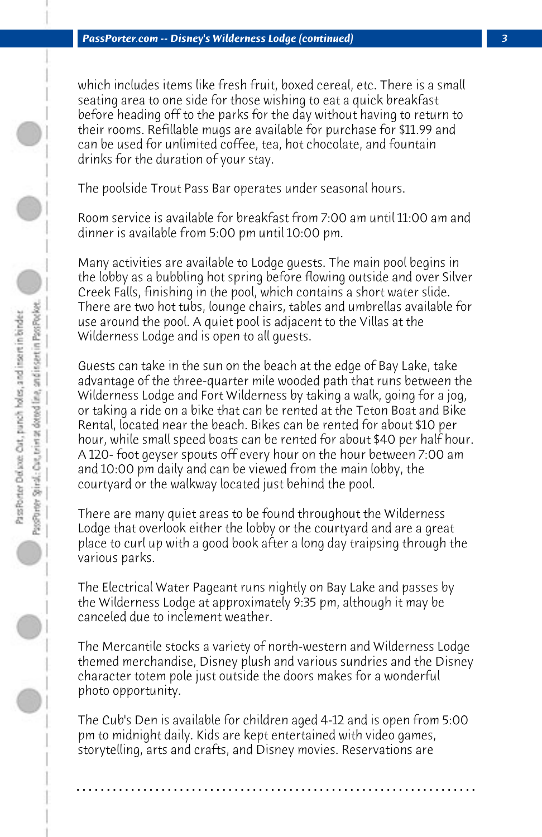which includes items like fresh fruit, boxed cereal, etc. There is a small seating area to one side for those wishing to eat a quick breakfast before heading off to the parks for the day without having to return to their rooms. Refillable mugs are available for purchase for \$11.99 and can be used for unlimited coffee, tea, hot chocolate, and fountain drinks for the duration of your stay.

The poolside Trout Pass Bar operates under seasonal hours.

Room service is available for breakfast from 7:00 am until 11:00 am and dinner is available from 5:00 pm until 10:00 pm.

Many activities are available to Lodge guests. The main pool begins in the lobby as a bubbling hot spring before flowing outside and over Silver Creek Falls, finishing in the pool, which contains a short water slide. There are two hot tubs, lounge chairs, tables and umbrellas available for use around the pool. A quiet pool is adjacent to the Villas at the Wilderness Lodge and is open to all guests.

Guests can take in the sun on the beach at the edge of Bay Lake, take advantage of the three-quarter mile wooded path that runs between the Wilderness Lodge and Fort Wilderness by taking a walk, going for a jog, or taking a ride on a bike that can be rented at the Teton Boat and Bike Rental, located near the beach. Bikes can be rented for about \$10 per hour, while small speed boats can be rented for about \$40 per half hour. A 120- foot geyser spouts off every hour on the hour between 7:00 am and 10:00 pm daily and can be viewed from the main lobby, the courtyard or the walkway located just behind the pool.

There are many quiet areas to be found throughout the Wilderness Lodge that overlook either the lobby or the courtyard and are a great place to curl up with a good book after a long day traipsing through the various parks.

The Electrical Water Pageant runs nightly on Bay Lake and passes by the Wilderness Lodge at approximately 9:35 pm, although it may be canceled due to inclement weather.

The Mercantile stocks a variety of north-western and Wilderness Lodge themed merchandise, Disney plush and various sundries and the Disney character totem pole just outside the doors makes for a wonderful photo opportunity.

The Cub's Den is available for children aged 4-12 and is open from 5:00 pm to midnight daily. Kids are kept entertained with video games, storytelling, arts and crafts, and Disney movies. Reservations are

**. . . . . . . . . . . . . . . . . . . . . . . . . . . . . . . . . . . . . . . . . . . . . . . . . . . . . . . . . . . . . . . . . .**